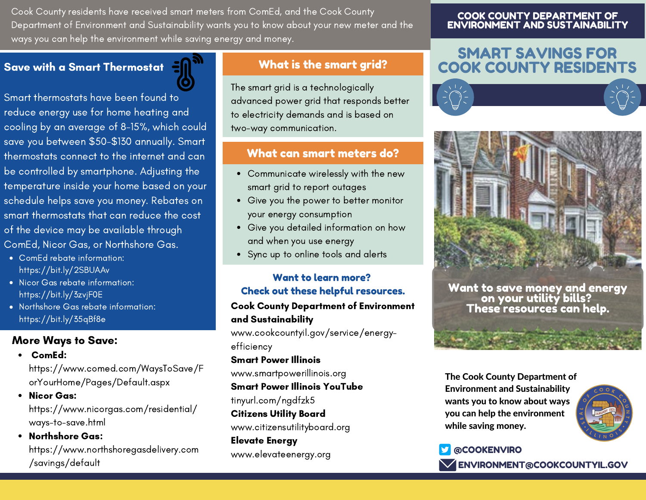Cook County residents have received smart meters from ComEd, and the Cook County Department of Environment and Sustainability wants you to know about your new meter and the ways you can help the environment while saving energy and money.

# Save with a Smart Thermostat

Smart thermostats have been found to reduce energy use for home heating and cooling by an average of 8-15%, which could save you between \$50-\$130 annually. Smart thermostats connect to the internet and can be controlled by smartphone. Adjusting the temperature inside your home based on your schedule helps save you money. Rebates on smart thermostats that can reduce the cost of the device may be available through ComEd, Nicor Gas, or Northshore Gas.

- ComEd rebate information: https://bit.ly/2SBUAAv
- Nicor Gas rebate information: https://bit.ly/3zvjF0E
- Northshore Gas rebate information: https://bit.ly/35qBf8e

### More Ways to Save:

ComEd:

https://www.comed.com/WaysToSave/F orYourHome/Pages/Default.aspx

- Nicor Gas: https://www.nicorgas.com/residential/ ways-to-save.html
- Northshore Gas: https://www.northshoregasdelivery.com /savings/default

# What is the smart arid?

The smart grid is a technologically advanced power grid that responds better to electricity demands and is based on two-way communication.

### What can smart meters do?

- Communicate wirelessly with the new smart grid to report outages
- Give you the power to better monitor your energy consumption
- Give you detailed information on how and when you use energy
- Sync up to online tools and alerts

#### Want to learn more? Check out these helpful resources.

#### Cook County Department of Environment and Sustainability

www.cookcountyil.gov/service/energyefficiency

#### Smart Power Illinois

www.smartpowerillinois.org

#### Smart Power Illinois YouTube

- tinyurl.com/ngdfzk5
- Citizens Utility Board

www.citizensutilityboard.org

Elevate Energy www.elevateenergy.org

#### COOK COUNTY DEPARTMENT OF ENVIRONMENT AND SUSTAINABILITY

# SMART SAVINGS FOR COOK COUNTY RESIDENTS





Want to save money and energy on your utility bills? These resources can help.

#### The Cook County Department of Environment and Sustainability wants you to know about ways you can help the environment while saving money.



# @COOKENVIRO **ENVIRONMENT@COOKCOUNTYIL.GOV**